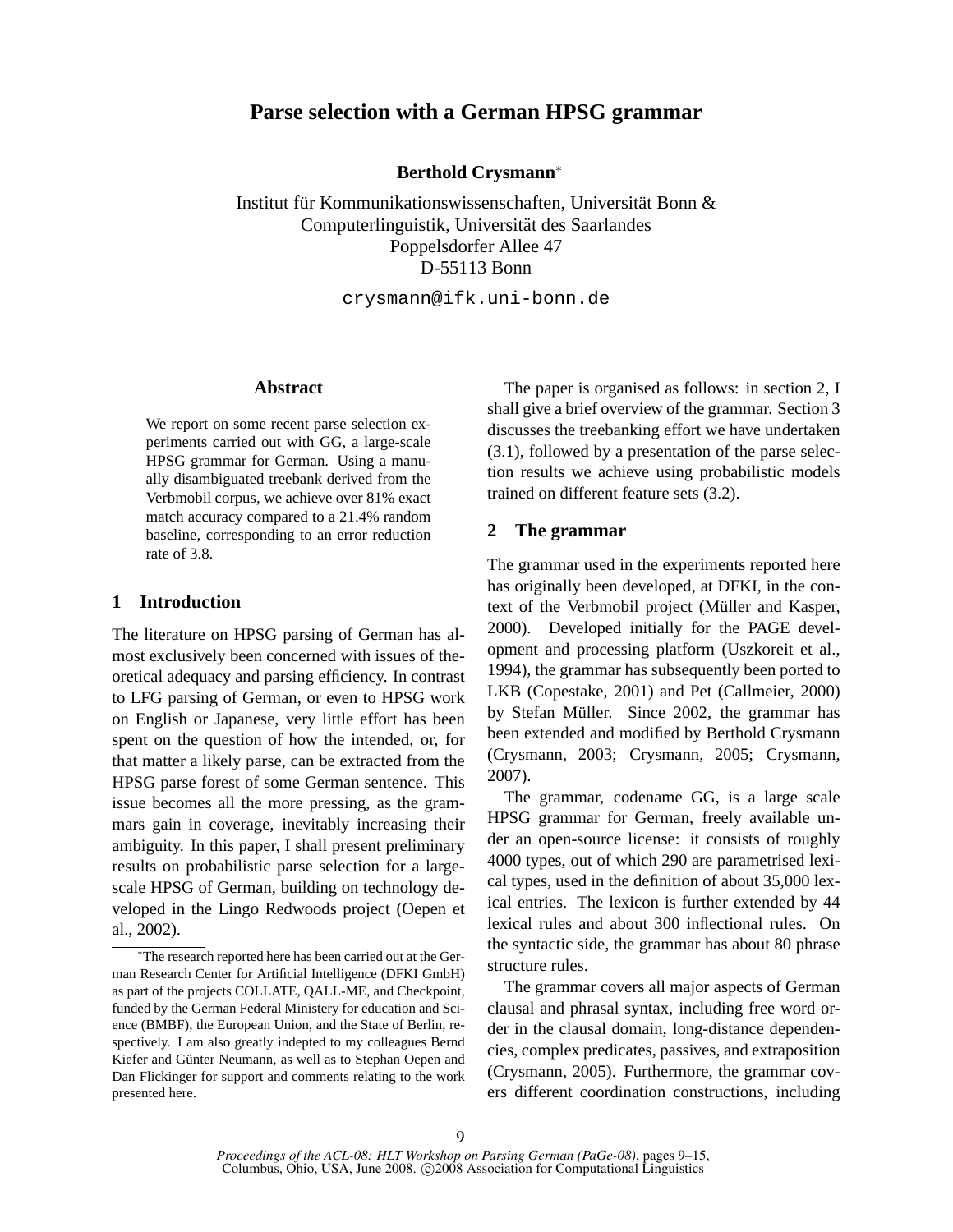# **Parse selection with a German HPSG grammar**

**Berthold Crysmann**<sup>∗</sup>

Institut für Kommunikationswissenschaften, Universität Bonn & Computerlinguistik, Universitat des Saarlandes ¨ Poppelsdorfer Allee 47 D-55113 Bonn

crysmann@ifk.uni-bonn.de

# **Abstract**

We report on some recent parse selection experiments carried out with GG, a large-scale HPSG grammar for German. Using a manually disambiguated treebank derived from the Verbmobil corpus, we achieve over 81% exact match accuracy compared to a 21.4% random baseline, corresponding to an error reduction rate of 3.8.

# **1 Introduction**

The literature on HPSG parsing of German has almost exclusively been concerned with issues of theoretical adequacy and parsing efficiency. In contrast to LFG parsing of German, or even to HPSG work on English or Japanese, very little effort has been spent on the question of how the intended, or, for that matter a likely parse, can be extracted from the HPSG parse forest of some German sentence. This issue becomes all the more pressing, as the grammars gain in coverage, inevitably increasing their ambiguity. In this paper, I shall present preliminary results on probabilistic parse selection for a largescale HPSG of German, building on technology developed in the Lingo Redwoods project (Oepen et al., 2002).

The paper is organised as follows: in section 2, I shall give a brief overview of the grammar. Section 3 discusses the treebanking effort we have undertaken (3.1), followed by a presentation of the parse selection results we achieve using probabilistic models trained on different feature sets (3.2).

## **2 The grammar**

The grammar used in the experiments reported here has originally been developed, at DFKI, in the context of the Verbmobil project (Müller and Kasper, 2000). Developed initially for the PAGE development and processing platform (Uszkoreit et al., 1994), the grammar has subsequently been ported to LKB (Copestake, 2001) and Pet (Callmeier, 2000) by Stefan Müller. Since 2002, the grammar has been extended and modified by Berthold Crysmann (Crysmann, 2003; Crysmann, 2005; Crysmann, 2007).

The grammar, codename GG, is a large scale HPSG grammar for German, freely available under an open-source license: it consists of roughly 4000 types, out of which 290 are parametrised lexical types, used in the definition of about 35,000 lexical entries. The lexicon is further extended by 44 lexical rules and about 300 inflectional rules. On the syntactic side, the grammar has about 80 phrase structure rules.

The grammar covers all major aspects of German clausal and phrasal syntax, including free word order in the clausal domain, long-distance dependencies, complex predicates, passives, and extraposition (Crysmann, 2005). Furthermore, the grammar covers different coordination constructions, including

<sup>∗</sup>The research reported here has been carried out at the German Research Center for Artificial Intelligence (DFKI GmbH) as part of the projects COLLATE, QALL-ME, and Checkpoint, funded by the German Federal Ministery for education and Science (BMBF), the European Union, and the State of Berlin, respectively. I am also greatly indepted to my colleagues Bernd Kiefer and Günter Neumann, as well as to Stephan Oepen and Dan Flickinger for support and comments relating to the work presented here.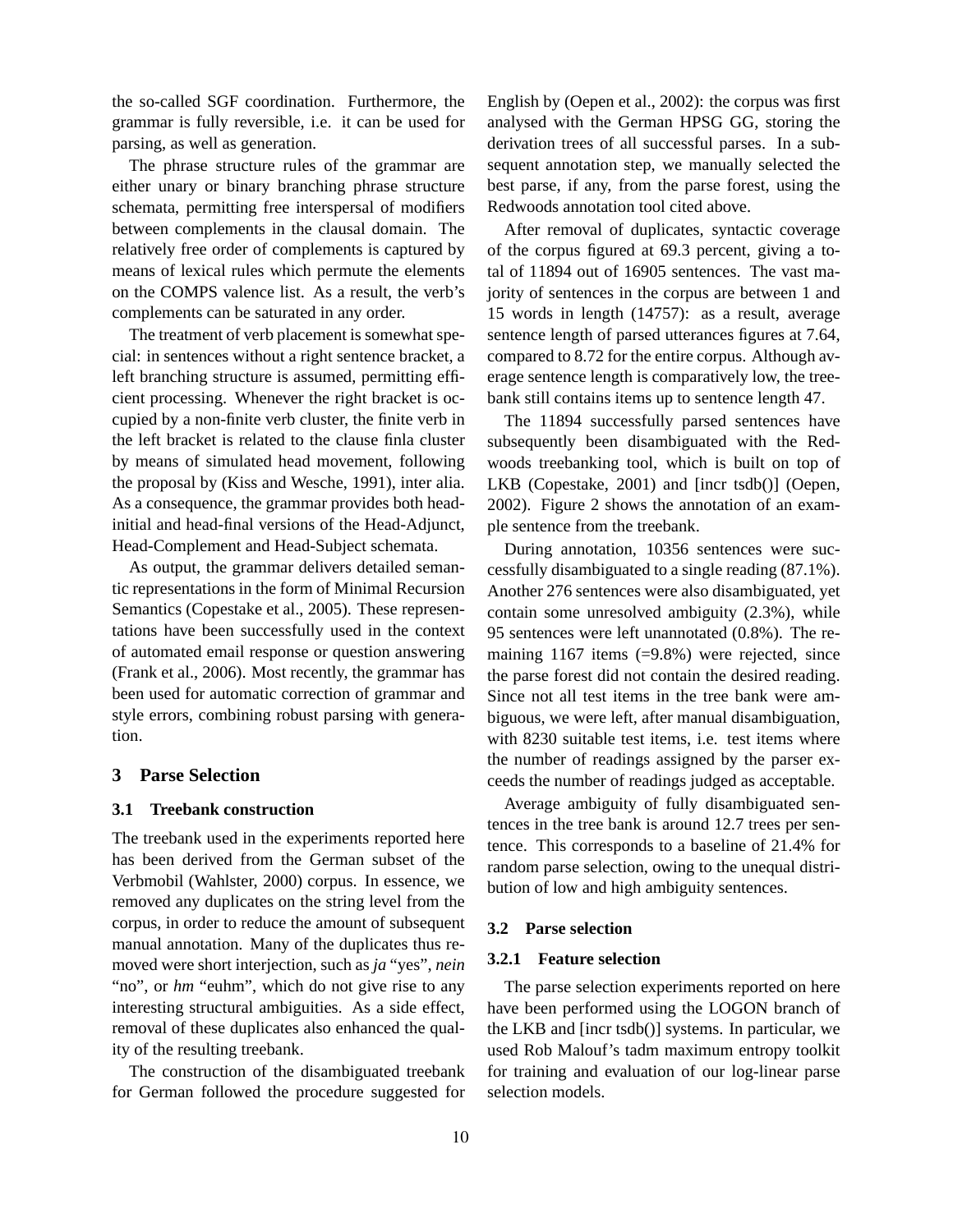the so-called SGF coordination. Furthermore, the grammar is fully reversible, i.e. it can be used for parsing, as well as generation.

The phrase structure rules of the grammar are either unary or binary branching phrase structure schemata, permitting free interspersal of modifiers between complements in the clausal domain. The relatively free order of complements is captured by means of lexical rules which permute the elements on the COMPS valence list. As a result, the verb's complements can be saturated in any order.

The treatment of verb placement is somewhat special: in sentences without a right sentence bracket, a left branching structure is assumed, permitting efficient processing. Whenever the right bracket is occupied by a non-finite verb cluster, the finite verb in the left bracket is related to the clause finla cluster by means of simulated head movement, following the proposal by (Kiss and Wesche, 1991), inter alia. As a consequence, the grammar provides both headinitial and head-final versions of the Head-Adjunct, Head-Complement and Head-Subject schemata.

As output, the grammar delivers detailed semantic representations in the form of Minimal Recursion Semantics (Copestake et al., 2005). These representations have been successfully used in the context of automated email response or question answering (Frank et al., 2006). Most recently, the grammar has been used for automatic correction of grammar and style errors, combining robust parsing with generation.

## **3 Parse Selection**

#### **3.1 Treebank construction**

The treebank used in the experiments reported here has been derived from the German subset of the Verbmobil (Wahlster, 2000) corpus. In essence, we removed any duplicates on the string level from the corpus, in order to reduce the amount of subsequent manual annotation. Many of the duplicates thus removed were short interjection, such as *ja* "yes", *nein* "no", or *hm* "euhm", which do not give rise to any interesting structural ambiguities. As a side effect, removal of these duplicates also enhanced the quality of the resulting treebank.

The construction of the disambiguated treebank for German followed the procedure suggested for English by (Oepen et al., 2002): the corpus was first analysed with the German HPSG GG, storing the derivation trees of all successful parses. In a subsequent annotation step, we manually selected the best parse, if any, from the parse forest, using the Redwoods annotation tool cited above.

After removal of duplicates, syntactic coverage of the corpus figured at 69.3 percent, giving a total of 11894 out of 16905 sentences. The vast majority of sentences in the corpus are between 1 and 15 words in length (14757): as a result, average sentence length of parsed utterances figures at 7.64, compared to 8.72 for the entire corpus. Although average sentence length is comparatively low, the treebank still contains items up to sentence length 47.

The 11894 successfully parsed sentences have subsequently been disambiguated with the Redwoods treebanking tool, which is built on top of LKB (Copestake, 2001) and [incr tsdb()] (Oepen, 2002). Figure 2 shows the annotation of an example sentence from the treebank.

During annotation, 10356 sentences were successfully disambiguated to a single reading (87.1%). Another 276 sentences were also disambiguated, yet contain some unresolved ambiguity (2.3%), while 95 sentences were left unannotated (0.8%). The remaining 1167 items (=9.8%) were rejected, since the parse forest did not contain the desired reading. Since not all test items in the tree bank were ambiguous, we were left, after manual disambiguation, with 8230 suitable test items, i.e. test items where the number of readings assigned by the parser exceeds the number of readings judged as acceptable.

Average ambiguity of fully disambiguated sentences in the tree bank is around 12.7 trees per sentence. This corresponds to a baseline of 21.4% for random parse selection, owing to the unequal distribution of low and high ambiguity sentences.

#### **3.2 Parse selection**

### **3.2.1 Feature selection**

The parse selection experiments reported on here have been performed using the LOGON branch of the LKB and [incr tsdb()] systems. In particular, we used Rob Malouf's tadm maximum entropy toolkit for training and evaluation of our log-linear parse selection models.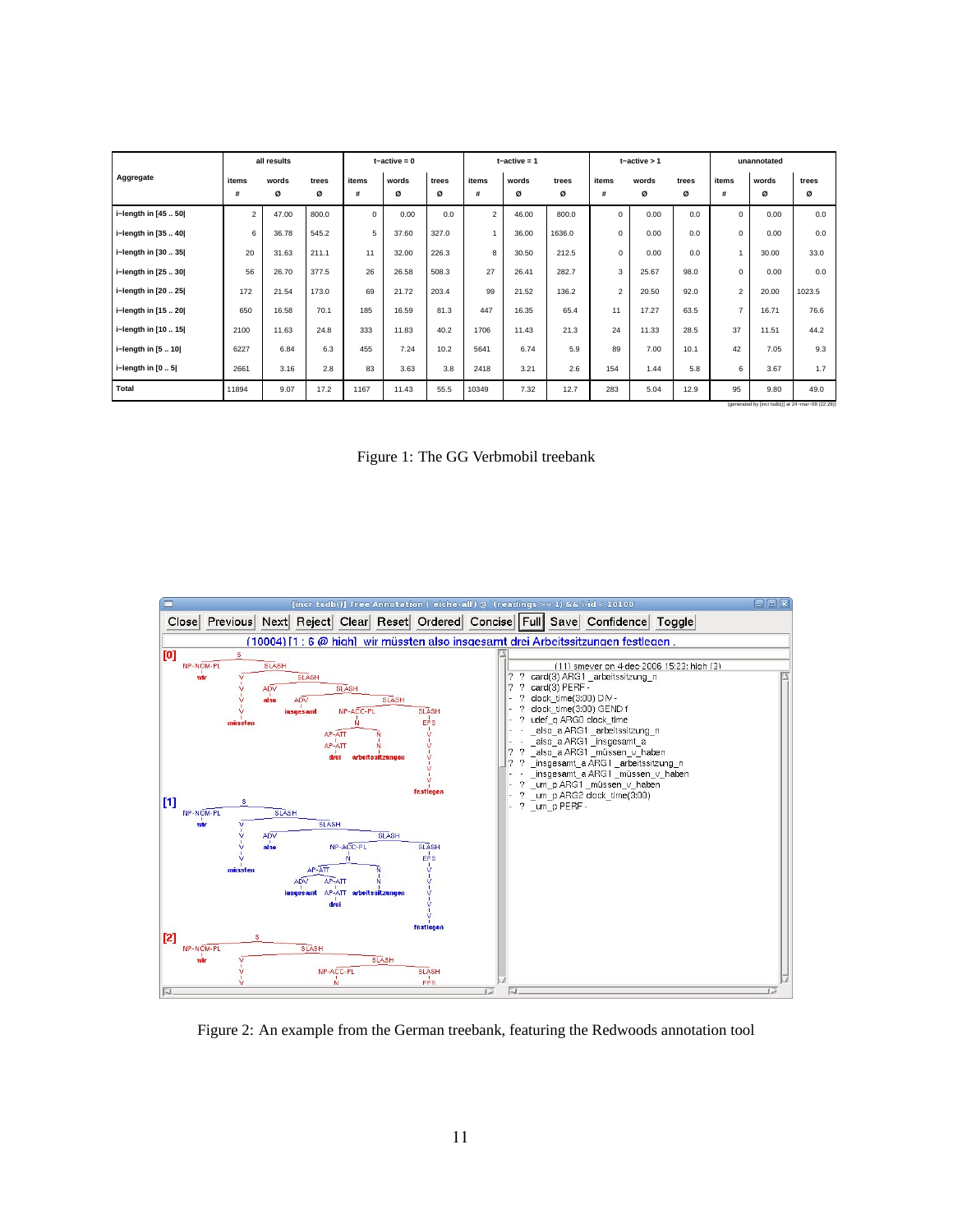| Aggregate<br>items<br>items<br>items<br>words<br>words<br>items<br>words<br>items<br>words<br>trees<br>trees<br>trees<br>words<br>trees<br>trees<br>ø<br>ø<br>#<br>ø<br>ø<br>ø<br>ø<br>ø<br>#<br>ø<br>#<br>ø<br>#<br>ø<br>#<br>i-length in [45  50]<br>$\overline{2}$<br>$\mathbf 0$<br>0.00<br>$\overline{2}$<br>0.00<br>47.00<br>800.0<br>0.0<br>46.00<br>800.0<br>0<br>0.0<br>$\Omega$<br>0.00<br>0.0<br>5<br>i-length in [35  40]<br>6<br>36.78<br>37.60<br>327.0<br>$\mathbf 0$<br>0.00<br>0.0<br>$\Omega$<br>0.00<br>0.0<br>545.2<br>36.00<br>1636.0<br>20<br>8<br>i-length in [30  35]<br>31.63<br>211.1<br>32.00<br>226.3<br>30.50<br>212.5<br>$\mathbf 0$<br>0.00<br>0.0<br>30.00<br>33.0<br>11<br>27<br>56<br>3<br>26<br>26.58<br>282.7<br>26.70<br>377.5<br>508.3<br>26.41<br>25.67<br>98.0<br>0<br>0.00<br>0.0<br>i-length in [25  30] |
|----------------------------------------------------------------------------------------------------------------------------------------------------------------------------------------------------------------------------------------------------------------------------------------------------------------------------------------------------------------------------------------------------------------------------------------------------------------------------------------------------------------------------------------------------------------------------------------------------------------------------------------------------------------------------------------------------------------------------------------------------------------------------------------------------------------------------------------------------|
|                                                                                                                                                                                                                                                                                                                                                                                                                                                                                                                                                                                                                                                                                                                                                                                                                                                    |
|                                                                                                                                                                                                                                                                                                                                                                                                                                                                                                                                                                                                                                                                                                                                                                                                                                                    |
|                                                                                                                                                                                                                                                                                                                                                                                                                                                                                                                                                                                                                                                                                                                                                                                                                                                    |
|                                                                                                                                                                                                                                                                                                                                                                                                                                                                                                                                                                                                                                                                                                                                                                                                                                                    |
|                                                                                                                                                                                                                                                                                                                                                                                                                                                                                                                                                                                                                                                                                                                                                                                                                                                    |
|                                                                                                                                                                                                                                                                                                                                                                                                                                                                                                                                                                                                                                                                                                                                                                                                                                                    |
| $\overline{2}$<br>99<br>$\overline{2}$<br>172<br>21.72<br>203.4<br>21.54<br>173.0<br>69<br>21.52<br>136.2<br>20.50<br>92.0<br>20.00<br>1023.5<br>i-length in [20  25]                                                                                                                                                                                                                                                                                                                                                                                                                                                                                                                                                                                                                                                                              |
| $\overline{7}$<br>185<br>81.3<br>447<br>65.4<br>17.27<br>650<br>16.58<br>70.1<br>16.59<br>16.35<br>11<br>63.5<br>16.71<br>76.6<br>i-length in [15  20]                                                                                                                                                                                                                                                                                                                                                                                                                                                                                                                                                                                                                                                                                             |
| 21.3<br>37<br>333<br>40.2<br>1706<br>24<br>2100<br>11.63<br>24.8<br>11.83<br>11.33<br>28.5<br>11.51<br>i-length in [10  15]<br>11.43<br>44.2                                                                                                                                                                                                                                                                                                                                                                                                                                                                                                                                                                                                                                                                                                       |
| i-length in [5  10]<br>89<br>6.3<br>5.9<br>9.3<br>6227<br>6.84<br>455<br>7.24<br>10.2<br>5641<br>6.74<br>7.00<br>10.1<br>42<br>7.05                                                                                                                                                                                                                                                                                                                                                                                                                                                                                                                                                                                                                                                                                                                |
| i-length in $[05]$<br>3.8<br>2.6<br>2.8<br>83<br>3.63<br>3.21<br>154<br>6<br>2661<br>3.16<br>2418<br>1.44<br>5.8<br>3.67<br>1.7                                                                                                                                                                                                                                                                                                                                                                                                                                                                                                                                                                                                                                                                                                                    |
| <b>Total</b><br>9.07<br>17.2<br>1167<br>11.43<br>55.5<br>7.32<br>12.7<br>283<br>5.04<br>12.9<br>95<br>9.80<br>49.0<br>11894<br>10349                                                                                                                                                                                                                                                                                                                                                                                                                                                                                                                                                                                                                                                                                                               |

Figure 1: The GG Verbmobil treebank



Figure 2: An example from the German treebank, featuring the Redwoods annotation tool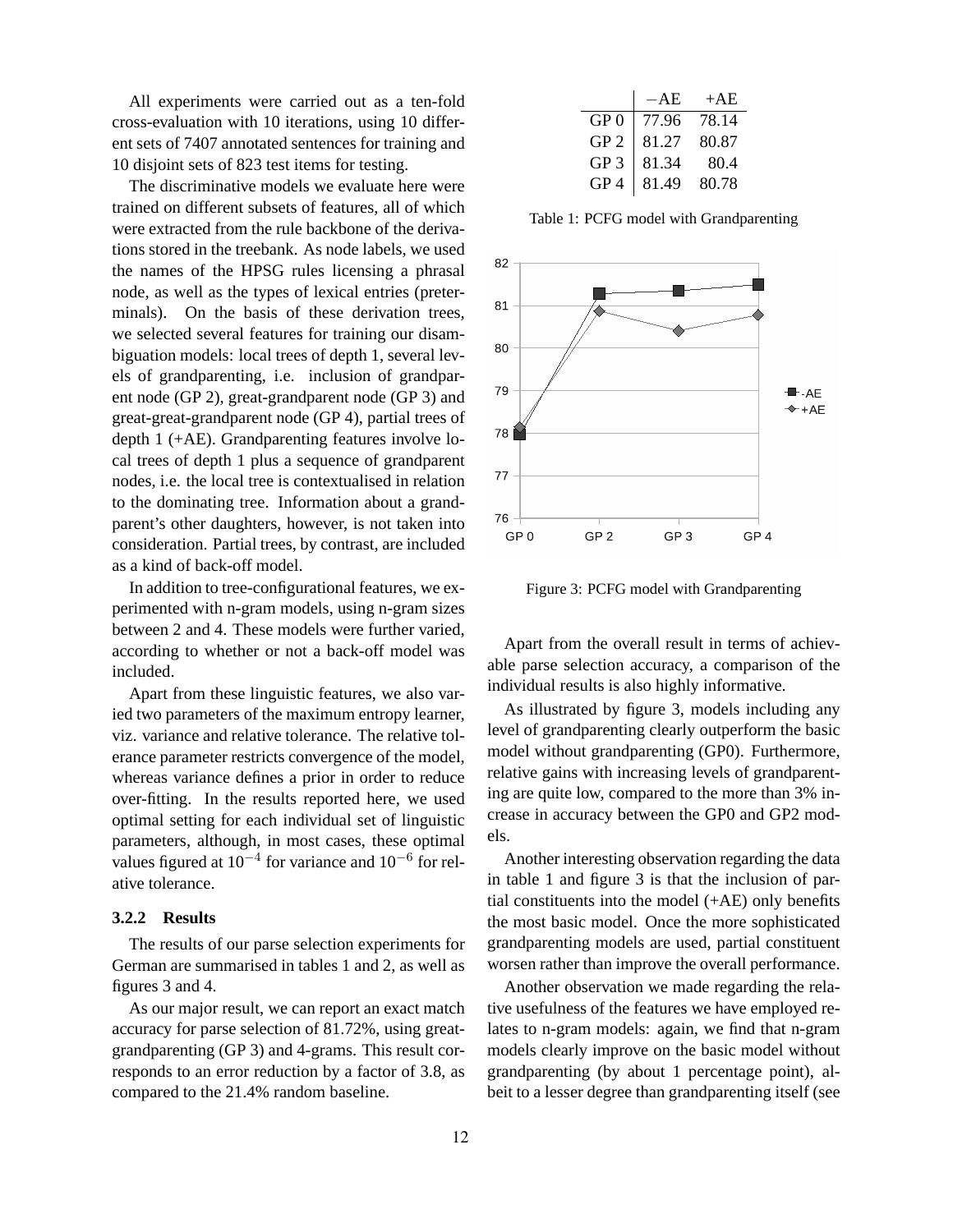All experiments were carried out as a ten-fold cross-evaluation with 10 iterations, using 10 different sets of 7407 annotated sentences for training and 10 disjoint sets of 823 test items for testing.

The discriminative models we evaluate here were trained on different subsets of features, all of which were extracted from the rule backbone of the derivations stored in the treebank. As node labels, we used the names of the HPSG rules licensing a phrasal node, as well as the types of lexical entries (preterminals). On the basis of these derivation trees, we selected several features for training our disambiguation models: local trees of depth 1, several levels of grandparenting, i.e. inclusion of grandparent node (GP 2), great-grandparent node (GP 3) and great-great-grandparent node (GP 4), partial trees of depth 1 (+AE). Grandparenting features involve local trees of depth 1 plus a sequence of grandparent nodes, i.e. the local tree is contextualised in relation to the dominating tree. Information about a grandparent's other daughters, however, is not taken into consideration. Partial trees, by contrast, are included as a kind of back-off model.

In addition to tree-configurational features, we experimented with n-gram models, using n-gram sizes between 2 and 4. These models were further varied, according to whether or not a back-off model was included.

Apart from these linguistic features, we also varied two parameters of the maximum entropy learner, viz. variance and relative tolerance. The relative tolerance parameter restricts convergence of the model, whereas variance defines a prior in order to reduce over-fitting. In the results reported here, we used optimal setting for each individual set of linguistic parameters, although, in most cases, these optimal values figured at  $10^{-4}$  for variance and  $10^{-6}$  for relative tolerance.

## **3.2.2 Results**

The results of our parse selection experiments for German are summarised in tables 1 and 2, as well as figures 3 and 4.

As our major result, we can report an exact match accuracy for parse selection of 81.72%, using greatgrandparenting (GP 3) and 4-grams. This result corresponds to an error reduction by a factor of 3.8, as compared to the 21.4% random baseline.

|                 | $-AE$ | $+AE$ |
|-----------------|-------|-------|
| GP 0            | 77.96 | 78.14 |
| GP <sub>2</sub> | 81.27 | 80.87 |
| GP <sub>3</sub> | 81.34 | 80.4  |
| GP <sub>4</sub> | 81.49 | 80.78 |

Table 1: PCFG model with Grandparenting



Figure 3: PCFG model with Grandparenting

Apart from the overall result in terms of achievable parse selection accuracy, a comparison of the individual results is also highly informative.

As illustrated by figure 3, models including any level of grandparenting clearly outperform the basic model without grandparenting (GP0). Furthermore, relative gains with increasing levels of grandparenting are quite low, compared to the more than 3% increase in accuracy between the GP0 and GP2 models.

Another interesting observation regarding the data in table 1 and figure 3 is that the inclusion of partial constituents into the model (+AE) only benefits the most basic model. Once the more sophisticated grandparenting models are used, partial constituent worsen rather than improve the overall performance.

Another observation we made regarding the relative usefulness of the features we have employed relates to n-gram models: again, we find that n-gram models clearly improve on the basic model without grandparenting (by about 1 percentage point), albeit to a lesser degree than grandparenting itself (see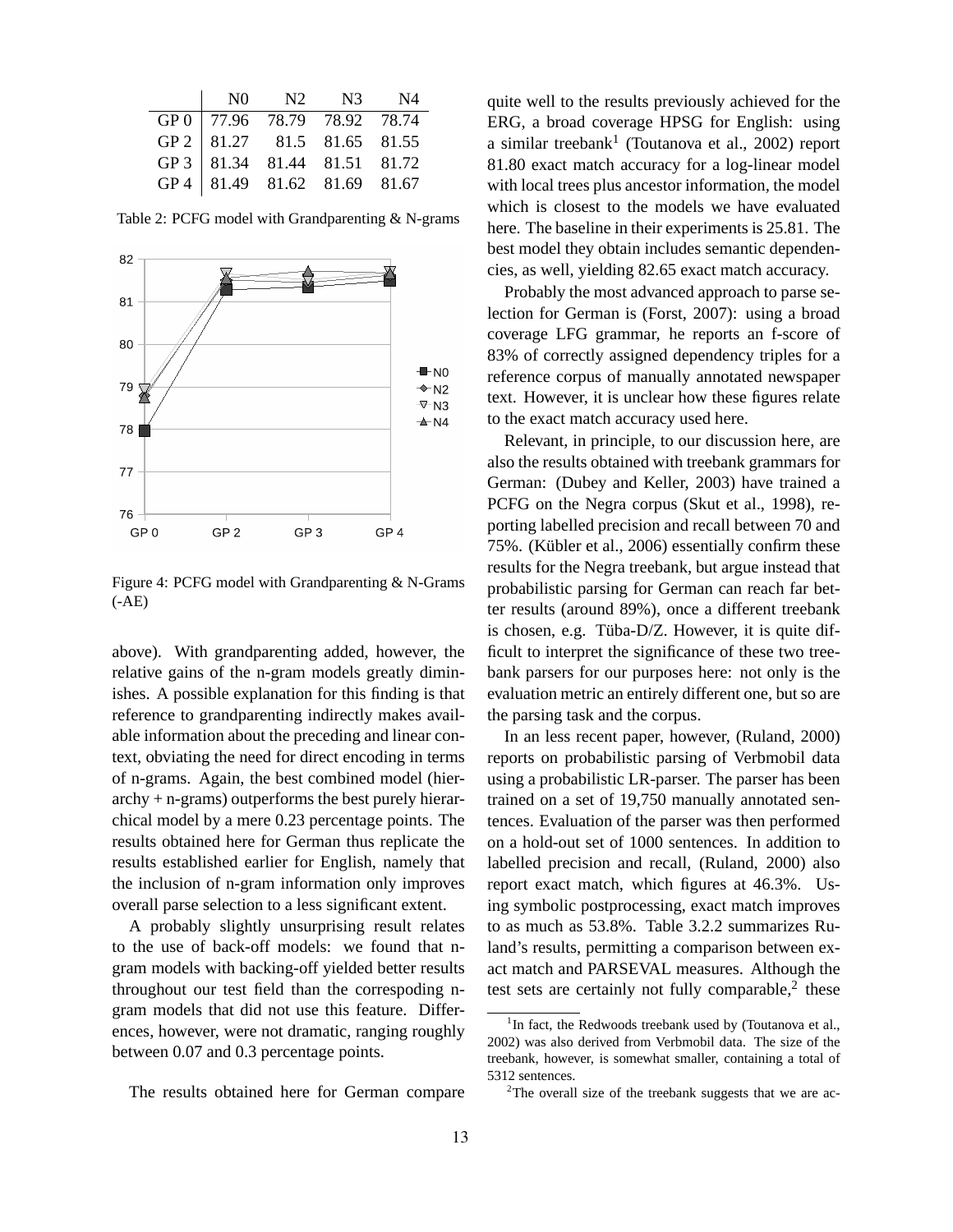|                                                                                                                             | NO N2 N3 N4 |  |
|-----------------------------------------------------------------------------------------------------------------------------|-------------|--|
|                                                                                                                             |             |  |
|                                                                                                                             |             |  |
|                                                                                                                             |             |  |
| GP 0 77.96 78.79 78.92 78.74<br>GP 2 81.27 81.5 81.65 81.55<br>GP 3 81.34 81.44 81.51 81.72<br>GP 4 81.49 81.62 81.69 81.67 |             |  |

Table 2: PCFG model with Grandparenting & N-grams



Figure 4: PCFG model with Grandparenting & N-Grams (-AE)

above). With grandparenting added, however, the relative gains of the n-gram models greatly diminishes. A possible explanation for this finding is that reference to grandparenting indirectly makes available information about the preceding and linear context, obviating the need for direct encoding in terms of n-grams. Again, the best combined model (hier $archy + n-grams)$  outperforms the best purely hierarchical model by a mere 0.23 percentage points. The results obtained here for German thus replicate the results established earlier for English, namely that the inclusion of n-gram information only improves overall parse selection to a less significant extent.

A probably slightly unsurprising result relates to the use of back-off models: we found that ngram models with backing-off yielded better results throughout our test field than the correspoding ngram models that did not use this feature. Differences, however, were not dramatic, ranging roughly between 0.07 and 0.3 percentage points.

The results obtained here for German compare

quite well to the results previously achieved for the ERG, a broad coverage HPSG for English: using a similar treebank<sup>1</sup> (Toutanova et al., 2002) report 81.80 exact match accuracy for a log-linear model with local trees plus ancestor information, the model which is closest to the models we have evaluated here. The baseline in their experiments is 25.81. The best model they obtain includes semantic dependencies, as well, yielding 82.65 exact match accuracy.

Probably the most advanced approach to parse selection for German is (Forst, 2007): using a broad coverage LFG grammar, he reports an f-score of 83% of correctly assigned dependency triples for a reference corpus of manually annotated newspaper text. However, it is unclear how these figures relate to the exact match accuracy used here.

Relevant, in principle, to our discussion here, are also the results obtained with treebank grammars for German: (Dubey and Keller, 2003) have trained a PCFG on the Negra corpus (Skut et al., 1998), reporting labelled precision and recall between 70 and 75%. (Kübler et al., 2006) essentially confirm these results for the Negra treebank, but argue instead that probabilistic parsing for German can reach far better results (around 89%), once a different treebank is chosen, e.g. Tüba- $D/Z$ . However, it is quite difficult to interpret the significance of these two treebank parsers for our purposes here: not only is the evaluation metric an entirely different one, but so are the parsing task and the corpus.

In an less recent paper, however, (Ruland, 2000) reports on probabilistic parsing of Verbmobil data using a probabilistic LR-parser. The parser has been trained on a set of 19,750 manually annotated sentences. Evaluation of the parser was then performed on a hold-out set of 1000 sentences. In addition to labelled precision and recall, (Ruland, 2000) also report exact match, which figures at 46.3%. Using symbolic postprocessing, exact match improves to as much as 53.8%. Table 3.2.2 summarizes Ruland's results, permitting a comparison between exact match and PARSEVAL measures. Although the test sets are certainly not fully comparable, $2$  these

<sup>&</sup>lt;sup>1</sup>In fact, the Redwoods treebank used by (Toutanova et al., 2002) was also derived from Verbmobil data. The size of the treebank, however, is somewhat smaller, containing a total of 5312 sentences.

 $2$ The overall size of the treebank suggests that we are ac-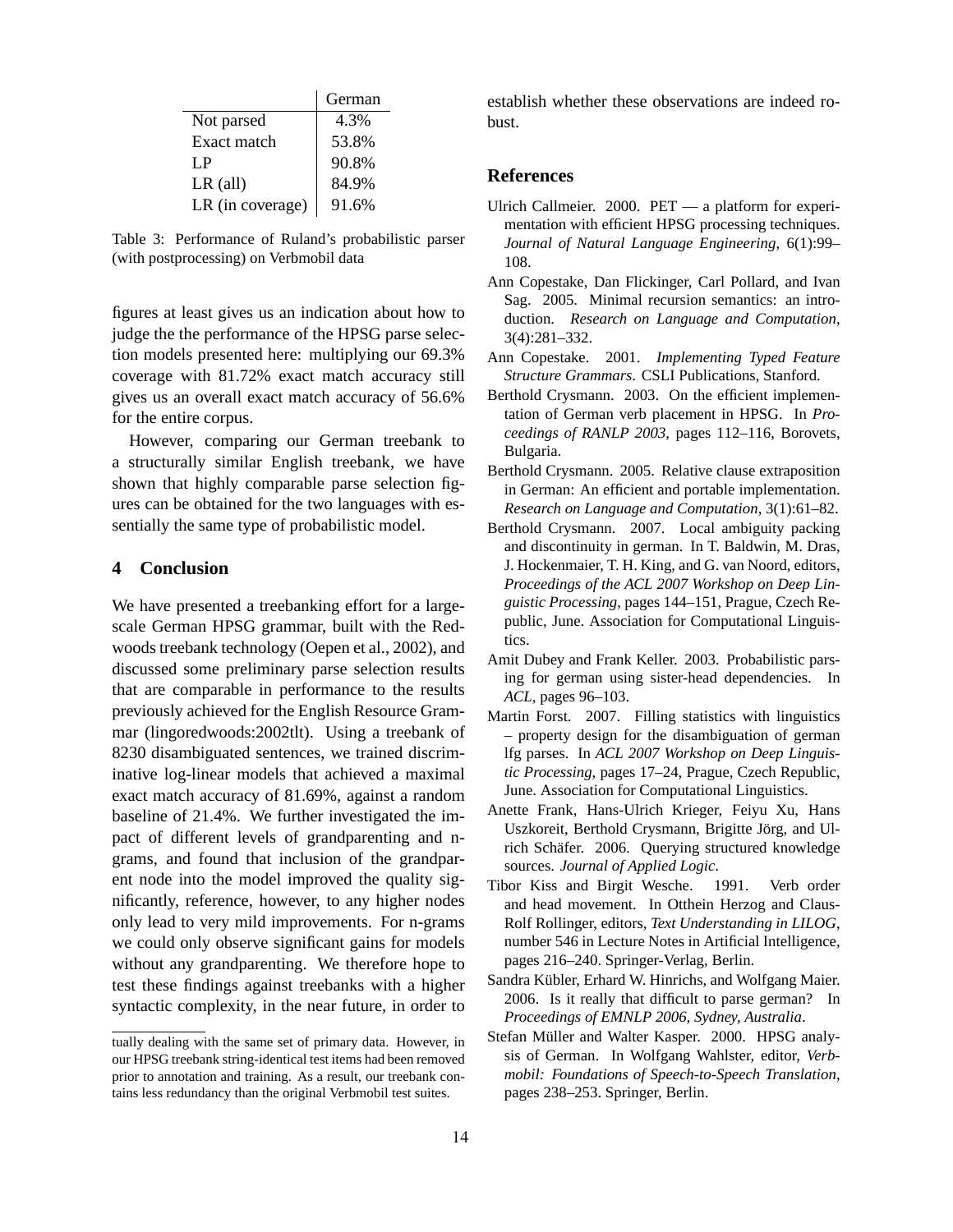|                  | German |
|------------------|--------|
| Not parsed       | 4.3%   |
| Exact match      | 53.8%  |
| I P              | 90.8%  |
| $LR$ (all)       | 84.9%  |
| LR (in coverage) | 91.6%  |

Table 3: Performance of Ruland's probabilistic parser (with postprocessing) on Verbmobil data

figures at least gives us an indication about how to judge the the performance of the HPSG parse selection models presented here: multiplying our 69.3% coverage with 81.72% exact match accuracy still gives us an overall exact match accuracy of 56.6% for the entire corpus.

However, comparing our German treebank to a structurally similar English treebank, we have shown that highly comparable parse selection figures can be obtained for the two languages with essentially the same type of probabilistic model.

# **4 Conclusion**

We have presented a treebanking effort for a largescale German HPSG grammar, built with the Redwoods treebank technology (Oepen et al., 2002), and discussed some preliminary parse selection results that are comparable in performance to the results previously achieved for the English Resource Grammar (lingoredwoods:2002tlt). Using a treebank of 8230 disambiguated sentences, we trained discriminative log-linear models that achieved a maximal exact match accuracy of 81.69%, against a random baseline of 21.4%. We further investigated the impact of different levels of grandparenting and ngrams, and found that inclusion of the grandparent node into the model improved the quality significantly, reference, however, to any higher nodes only lead to very mild improvements. For n-grams we could only observe significant gains for models without any grandparenting. We therefore hope to test these findings against treebanks with a higher syntactic complexity, in the near future, in order to

establish whether these observations are indeed robust.

## **References**

- Ulrich Callmeier. 2000. PET a platform for experimentation with efficient HPSG processing techniques. *Journal of Natural Language Engineering*, 6(1):99– 108.
- Ann Copestake, Dan Flickinger, Carl Pollard, and Ivan Sag. 2005. Minimal recursion semantics: an introduction. *Research on Language and Computation*, 3(4):281–332.
- Ann Copestake. 2001. *Implementing Typed Feature Structure Grammars*. CSLI Publications, Stanford.
- Berthold Crysmann. 2003. On the efficient implementation of German verb placement in HPSG. In *Proceedings of RANLP 2003*, pages 112–116, Borovets, Bulgaria.
- Berthold Crysmann. 2005. Relative clause extraposition in German: An efficient and portable implementation. *Research on Language and Computation*, 3(1):61–82.
- Berthold Crysmann. 2007. Local ambiguity packing and discontinuity in german. In T. Baldwin, M. Dras, J. Hockenmaier, T. H. King, and G. van Noord, editors, *Proceedings of the ACL 2007 Workshop on Deep Linguistic Processing*, pages 144–151, Prague, Czech Republic, June. Association for Computational Linguistics.
- Amit Dubey and Frank Keller. 2003. Probabilistic parsing for german using sister-head dependencies. In *ACL*, pages 96–103.
- Martin Forst. 2007. Filling statistics with linguistics – property design for the disambiguation of german lfg parses. In *ACL 2007 Workshop on Deep Linguistic Processing*, pages 17–24, Prague, Czech Republic, June. Association for Computational Linguistics.
- Anette Frank, Hans-Ulrich Krieger, Feiyu Xu, Hans Uszkoreit, Berthold Crysmann, Brigitte Jörg, and Ulrich Schäfer. 2006. Querying structured knowledge sources. *Journal of Applied Logic*.
- Tibor Kiss and Birgit Wesche. 1991. Verb order and head movement. In Otthein Herzog and Claus-Rolf Rollinger, editors, *Text Understanding in LILOG*, number 546 in Lecture Notes in Artificial Intelligence, pages 216–240. Springer-Verlag, Berlin.
- Sandra Kübler, Erhard W. Hinrichs, and Wolfgang Maier. 2006. Is it really that difficult to parse german? In *Proceedings of EMNLP 2006, Sydney, Australia*.
- Stefan Müller and Walter Kasper. 2000. HPSG analysis of German. In Wolfgang Wahlster, editor, *Verbmobil: Foundations of Speech-to-Speech Translation*, pages 238–253. Springer, Berlin.

tually dealing with the same set of primary data. However, in our HPSG treebank string-identical test items had been removed prior to annotation and training. As a result, our treebank contains less redundancy than the original Verbmobil test suites.